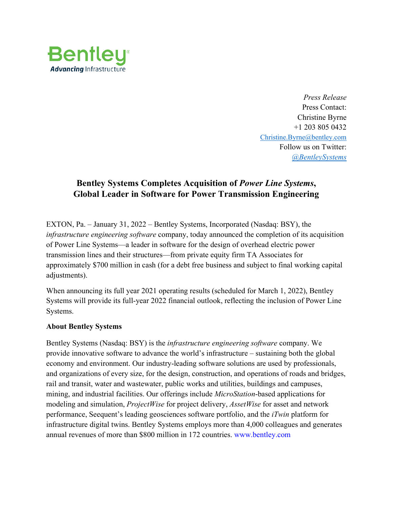

*Press Release* Press Contact: Christine Byrne +1 203 805 0432 [Christine.Byrne@bentley.com](mailto:Christine.Byrne@bentley.com) Follow us on Twitter: *[@BentleySystems](http://twitter.com/BentleySystems)*

## **Bentley Systems Completes Acquisition of** *Power Line Systems***, Global Leader in Software for Power Transmission Engineering**

EXTON, Pa. – January 31, 2022 – Bentley Systems, Incorporated (Nasdaq: BSY), the *infrastructure engineering software* company, today announced the completion of its acquisition of Power Line Systems—a leader in software for the design of overhead electric power transmission lines and their structures—from private equity firm TA Associates for approximately \$700 million in cash (for a debt free business and subject to final working capital adjustments).

When announcing its full year 2021 operating results (scheduled for March 1, 2022), Bentley Systems will provide its full-year 2022 financial outlook, reflecting the inclusion of Power Line Systems.

## **About Bentley Systems**

Bentley Systems (Nasdaq: BSY) is the *infrastructure engineering software* company. We provide innovative software to advance the world's infrastructure – sustaining both the global economy and environment. Our industry-leading software solutions are used by professionals, and organizations of every size, for the design, construction, and operations of roads and bridges, rail and transit, water and wastewater, public works and utilities, buildings and campuses, mining, and industrial facilities. Our offerings include *MicroStation*-based applications for modeling and simulation, *ProjectWise* for project delivery, *AssetWise* for asset and network performance, Seequent's leading geosciences software portfolio, and the *iTwin* platform for infrastructure digital twins. Bentley Systems employs more than 4,000 colleagues and generates annual revenues of more than \$800 million in 172 countries. www.bentley.com